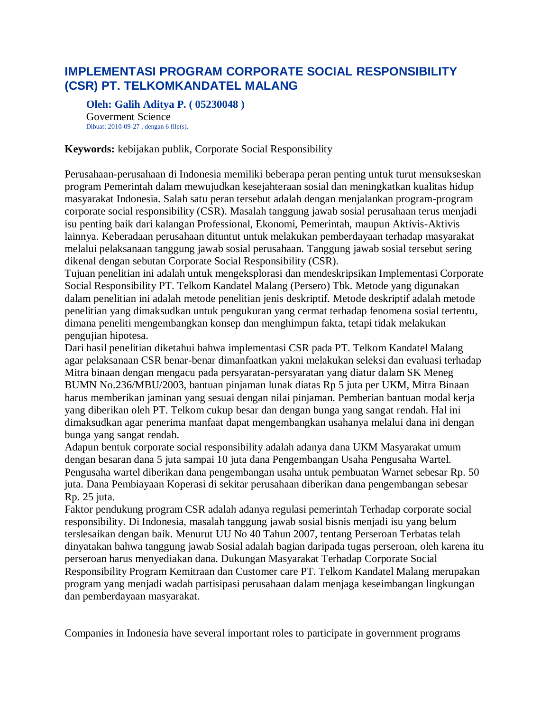## **IMPLEMENTASI PROGRAM CORPORATE SOCIAL RESPONSIBILITY (CSR) PT. TELKOMKANDATEL MALANG**

**Oleh: Galih Aditya P. ( 05230048 )** Goverment Science Dibuat: 2010-09-27 , dengan 6 file(s).

## **Keywords:** kebijakan publik, Corporate Social Responsibility

Perusahaan-perusahaan di Indonesia memiliki beberapa peran penting untuk turut mensukseskan program Pemerintah dalam mewujudkan kesejahteraan sosial dan meningkatkan kualitas hidup masyarakat Indonesia. Salah satu peran tersebut adalah dengan menjalankan program-program corporate social responsibility (CSR). Masalah tanggung jawab sosial perusahaan terus menjadi isu penting baik dari kalangan Professional, Ekonomi, Pemerintah, maupun Aktivis-Aktivis lainnya. Keberadaan perusahaan dituntut untuk melakukan pemberdayaan terhadap masyarakat melalui pelaksanaan tanggung jawab sosial perusahaan. Tanggung jawab sosial tersebut sering dikenal dengan sebutan Corporate Social Responsibility (CSR).

Tujuan penelitian ini adalah untuk mengeksplorasi dan mendeskripsikan Implementasi Corporate Social Responsibility PT. Telkom Kandatel Malang (Persero) Tbk. Metode yang digunakan dalam penelitian ini adalah metode penelitian jenis deskriptif. Metode deskriptif adalah metode penelitian yang dimaksudkan untuk pengukuran yang cermat terhadap fenomena sosial tertentu, dimana peneliti mengembangkan konsep dan menghimpun fakta, tetapi tidak melakukan pengujian hipotesa.

Dari hasil penelitian diketahui bahwa implementasi CSR pada PT. Telkom Kandatel Malang agar pelaksanaan CSR benar-benar dimanfaatkan yakni melakukan seleksi dan evaluasi terhadap Mitra binaan dengan mengacu pada persyaratan-persyaratan yang diatur dalam SK Meneg BUMN No.236/MBU/2003, bantuan pinjaman lunak diatas Rp 5 juta per UKM, Mitra Binaan harus memberikan jaminan yang sesuai dengan nilai pinjaman. Pemberian bantuan modal kerja yang diberikan oleh PT. Telkom cukup besar dan dengan bunga yang sangat rendah. Hal ini dimaksudkan agar penerima manfaat dapat mengembangkan usahanya melalui dana ini dengan bunga yang sangat rendah.

Adapun bentuk corporate social responsibility adalah adanya dana UKM Masyarakat umum dengan besaran dana 5 juta sampai 10 juta dana Pengembangan Usaha Pengusaha Wartel. Pengusaha wartel diberikan dana pengembangan usaha untuk pembuatan Warnet sebesar Rp. 50 juta. Dana Pembiayaan Koperasi di sekitar perusahaan diberikan dana pengembangan sebesar Rp. 25 juta.

Faktor pendukung program CSR adalah adanya regulasi pemerintah Terhadap corporate social responsibility. Di Indonesia, masalah tanggung jawab sosial bisnis menjadi isu yang belum terslesaikan dengan baik. Menurut UU No 40 Tahun 2007, tentang Perseroan Terbatas telah dinyatakan bahwa tanggung jawab Sosial adalah bagian daripada tugas perseroan, oleh karena itu perseroan harus menyediakan dana. Dukungan Masyarakat Terhadap Corporate Social Responsibility Program Kemitraan dan Customer care PT. Telkom Kandatel Malang merupakan program yang menjadi wadah partisipasi perusahaan dalam menjaga keseimbangan lingkungan dan pemberdayaan masyarakat.

Companies in Indonesia have several important roles to participate in government programs